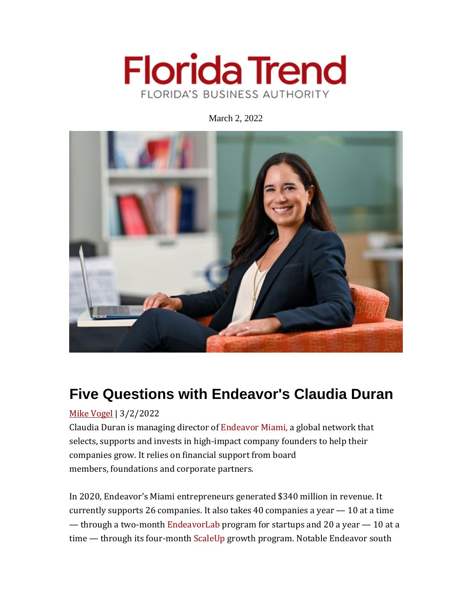

March 2, 2022



# **Five Questions with Endeavor's Claudia Duran**

# Mike [Vogel](https://www.floridatrend.com/people/mike-vogel) | 3/2/2022

Claudia Duran is managing director of [Endeavor](https://endeavormiami.org/) Miami, a global network that selects, supports and invests in high-impact company founders to help their companies grow. It relies on financial support from board members, foundations and corporate partners.

In 2020, Endeavor's Miami entrepreneurs generated \$340 million in revenue. It currently supports 26 companies. It also takes 40 companies a year — 10 at a time — through a two-month [EndeavorLab](https://endeavormiami.org/programs/endeavorlab/) program for startups and 20 a year — 10 at a time — through its four-month [ScaleUp](https://endeavormiami.org/programs/scaleup-program/) growth program. Notable Endeavor south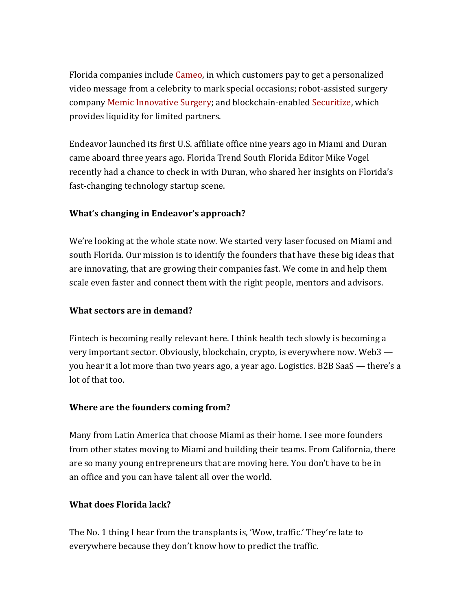Florida companies include [Cameo,](https://www.cameo.com/) in which customers pay to get a personalized video message from a celebrity to mark special occasions; robot-assisted surgery company Memic [Innovative](https://memicmed.com/) Surgery; and blockchain-enabled [Securitize,](https://securitize.io/) which provides liquidity for limited partners.

Endeavor launched its first U.S. affiliate office nine years ago in Miami and Duran came aboard three years ago. Florida Trend South Florida Editor Mike Vogel recently had a chance to check in with Duran, who shared her insights on Florida's fast-changing technology startup scene.

#### **What's changing in Endeavor's approach?**

We're looking at the whole state now. We started very laser focused on Miami and south Florida. Our mission is to identify the founders that have these big ideas that are innovating, that are growing their companies fast. We come in and help them scale even faster and connect them with the right people, mentors and advisors.

#### **What sectors are in demand?**

Fintech is becoming really relevant here. I think health tech slowly is becoming a very important sector. Obviously, blockchain, crypto, is everywhere now. Web3 you hear it a lot more than two years ago, a year ago. Logistics. B2B SaaS — there's a lot of that too.

#### **Where are the founders coming from?**

Many from Latin America that choose Miami as their home. I see more founders from other states moving to Miami and building their teams. From California, there are so many young entrepreneurs that are moving here. You don't have to be in an office and you can have talent all over the world.

### **What does Florida lack?**

The No. 1 thing I hear from the transplants is, 'Wow, traffic.' They're late to everywhere because they don't know how to predict the traffic.